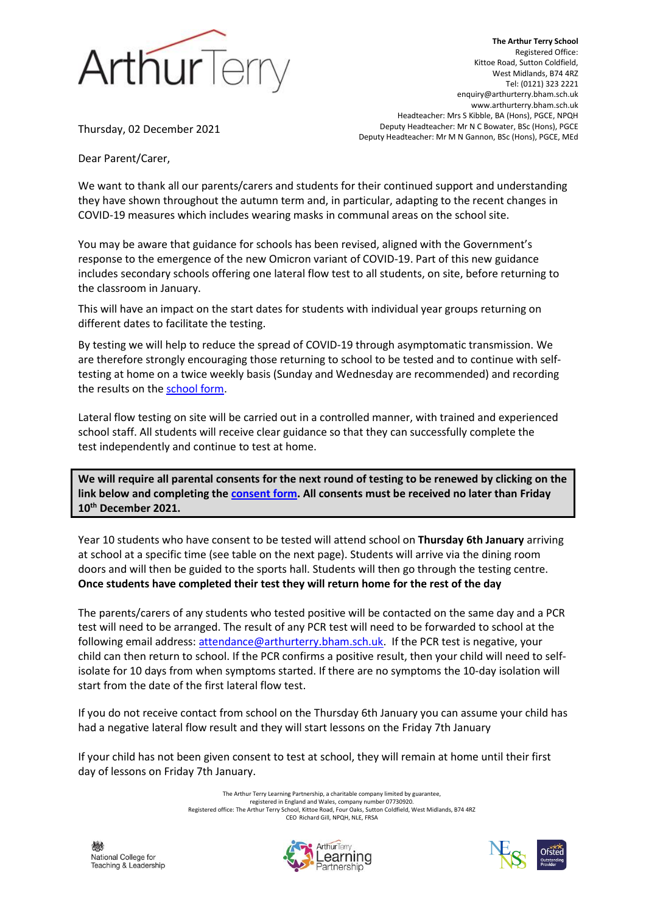

**The Arthur Terry School** Registered Office: Kittoe Road, Sutton Coldfield, West Midlands, B74 4RZ Tel: (0121) 323 2221 enquiry@arthurterry.bham.sch.uk www.arthurterry.bham.sch.uk Headteacher: Mrs S Kibble, BA (Hons), PGCE, NPQH Deputy Headteacher: Mr N C Bowater, BSc (Hons), PGCE Deputy Headteacher: Mr M N Gannon, BSc (Hons), PGCE, MEd

Thursday, 02 December 2021

Dear Parent/Carer, 

We want to thank all our parents/carers and students for their continued support and understanding they have shown throughout the autumn term and, in particular, adapting to the recent changes in COVID-19 measures which includes wearing masks in communal areas on the school site.

You may be aware that guidance for schools has been revised, aligned with the Government's response to the emergence of the new Omicron variant of COVID-19. Part of this new guidance includes secondary schools offering one lateral flow test to all students, on site, before returning to the classroom in January.

This will have an impact on the start dates for students with individual year groups returning on different dates to facilitate the testing.

By testing we will help to reduce the spread of COVID-19 through asymptomatic transmission. We are therefore strongly encouraging those returning to school to be tested and to continue with selftesting at home on a twice weekly basis (Sunday and Wednesday are recommended) and recording the results on the [school form.](https://forms.office.com/r/saRfHaGaBy)

Lateral flow testing on site will be carried out in a controlled manner, with trained and experienced school staff. All students will receive clear guidance so that they can successfully complete the test independently and continue to test at home.

**We will require all parental consents for the next round of testing to be renewed by clicking on the link below and completing the [consent form.](https://forms.office.com/r/h1kfYvYAjq) All consents must be received no later than Friday 10th December 2021.** 

Year 10 students who have consent to be tested will attend school on **Thursday 6th January** arriving at school at a specific time (see table on the next page). Students will arrive via the dining room doors and will then be guided to the sports hall. Students will then go through the testing centre. **Once students have completed their test they will return home for the rest of the day**

The parents/carers of any students who tested positive will be contacted on the same day and a PCR test will need to be arranged. The result of any PCR test will need to be forwarded to school at the following email address: [attendance@arthurterry.bham.sch.uk.](mailto:attendance@arthurterry.bham.sch.uk) If the PCR test is negative, your child can then return to school. If the PCR confirms a positive result, then your child will need to selfisolate for 10 days from when symptoms started. If there are no symptoms the 10-day isolation will start from the date of the first lateral flow test.

If you do not receive contact from school on the Thursday 6th January you can assume your child has had a negative lateral flow result and they will start lessons on the Friday 7th January

If your child has not been given consent to test at school, they will remain at home until their first day of lessons on Friday 7th January.

> The Arthur Terry Learning Partnership, a charitable company limited by guarantee, registered in England and Wales, company number 07730920. Registered office: The Arthur Terry School, Kittoe Road, Four Oaks, Sutton Coldfield, West Midlands, B74 4RZ CEO Richard Gill, NPQH, NLE, FRSA